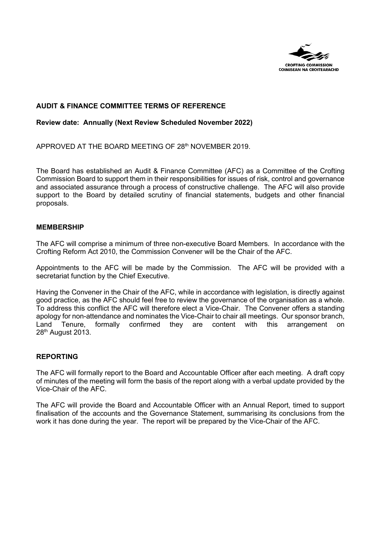

### **AUDIT & FINANCE COMMITTEE TERMS OF REFERENCE**

#### **Review date: Annually (Next Review Scheduled November 2022)**

APPROVED AT THE BOARD MEETING OF 28<sup>th</sup> NOVEMBER 2019.

The Board has established an Audit & Finance Committee (AFC) as a Committee of the Crofting Commission Board to support them in their responsibilities for issues of risk, control and governance and associated assurance through a process of constructive challenge. The AFC will also provide support to the Board by detailed scrutiny of financial statements, budgets and other financial proposals.

#### **MEMBERSHIP**

The AFC will comprise a minimum of three non-executive Board Members. In accordance with the Crofting Reform Act 2010, the Commission Convener will be the Chair of the AFC.

Appointments to the AFC will be made by the Commission. The AFC will be provided with a secretariat function by the Chief Executive.

Having the Convener in the Chair of the AFC, while in accordance with legislation, is directly against good practice, as the AFC should feel free to review the governance of the organisation as a whole. To address this conflict the AFC will therefore elect a Vice-Chair. The Convener offers a standing apology for non-attendance and nominates the Vice-Chair to chair all meetings. Our sponsor branch, Land Tenure, formally confirmed they are content with this arrangement on 28<sup>th</sup> August 2013.

#### **REPORTING**

The AFC will formally report to the Board and Accountable Officer after each meeting. A draft copy of minutes of the meeting will form the basis of the report along with a verbal update provided by the Vice-Chair of the AFC.

The AFC will provide the Board and Accountable Officer with an Annual Report, timed to support finalisation of the accounts and the Governance Statement, summarising its conclusions from the work it has done during the year. The report will be prepared by the Vice-Chair of the AFC.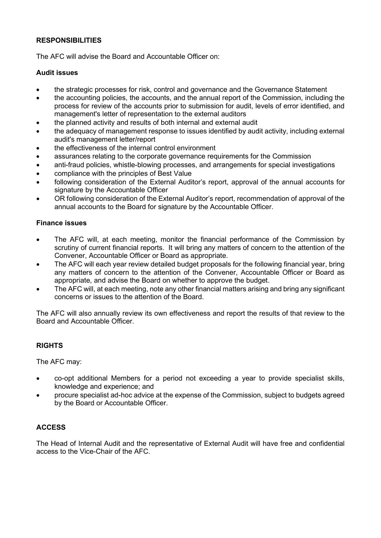## **RESPONSIBILITIES**

The AFC will advise the Board and Accountable Officer on:

### **Audit issues**

- the strategic processes for risk, control and governance and the Governance Statement
- the accounting policies, the accounts, and the annual report of the Commission, including the process for review of the accounts prior to submission for audit, levels of error identified, and management's letter of representation to the external auditors
- the planned activity and results of both internal and external audit
- the adequacy of management response to issues identified by audit activity, including external audit's management letter/report
- the effectiveness of the internal control environment
- assurances relating to the corporate governance requirements for the Commission
- anti-fraud policies, whistle-blowing processes, and arrangements for special investigations
- compliance with the principles of Best Value
- following consideration of the External Auditor's report, approval of the annual accounts for signature by the Accountable Officer
- OR following consideration of the External Auditor's report, recommendation of approval of the annual accounts to the Board for signature by the Accountable Officer.

### **Finance issues**

- The AFC will, at each meeting, monitor the financial performance of the Commission by scrutiny of current financial reports. It will bring any matters of concern to the attention of the Convener, Accountable Officer or Board as appropriate.
- The AFC will each year review detailed budget proposals for the following financial year, bring any matters of concern to the attention of the Convener, Accountable Officer or Board as appropriate, and advise the Board on whether to approve the budget.
- The AFC will, at each meeting, note any other financial matters arising and bring any significant concerns or issues to the attention of the Board.

The AFC will also annually review its own effectiveness and report the results of that review to the Board and Accountable Officer.

# **RIGHTS**

The AFC may:

- co-opt additional Members for a period not exceeding a year to provide specialist skills, knowledge and experience; and
- procure specialist ad-hoc advice at the expense of the Commission, subject to budgets agreed by the Board or Accountable Officer.

### **ACCESS**

The Head of Internal Audit and the representative of External Audit will have free and confidential access to the Vice-Chair of the AFC.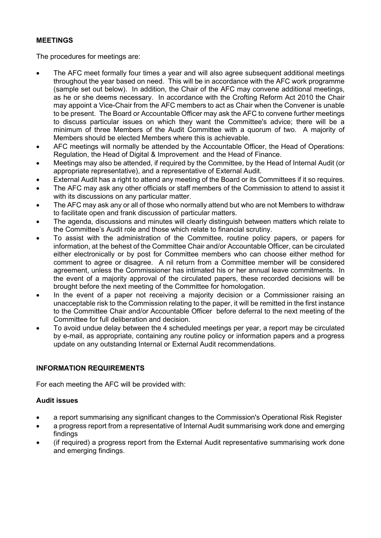## **MEETINGS**

The procedures for meetings are:

- The AFC meet formally four times a year and will also agree subsequent additional meetings throughout the year based on need. This will be in accordance with the AFC work programme (sample set out below). In addition, the Chair of the AFC may convene additional meetings, as he or she deems necessary. In accordance with the Crofting Reform Act 2010 the Chair may appoint a Vice-Chair from the AFC members to act as Chair when the Convener is unable to be present. The Board or Accountable Officer may ask the AFC to convene further meetings to discuss particular issues on which they want the Committee's advice; there will be a minimum of three Members of the Audit Committee with a quorum of two. A majority of Members should be elected Members where this is achievable.
- AFC meetings will normally be attended by the Accountable Officer, the Head of Operations: Regulation, the Head of Digital & Improvement and the Head of Finance.
- Meetings may also be attended, if required by the Committee, by the Head of Internal Audit (or appropriate representative), and a representative of External Audit.
- External Audit has a right to attend any meeting of the Board or its Committees if it so requires.
- The AFC may ask any other officials or staff members of the Commission to attend to assist it with its discussions on any particular matter.
- The AFC may ask any or all of those who normally attend but who are not Members to withdraw to facilitate open and frank discussion of particular matters.
- The agenda, discussions and minutes will clearly distinguish between matters which relate to the Committee's Audit role and those which relate to financial scrutiny.
- To assist with the administration of the Committee, routine policy papers, or papers for information, at the behest of the Committee Chair and/or Accountable Officer, can be circulated either electronically or by post for Committee members who can choose either method for comment to agree or disagree. A nil return from a Committee member will be considered agreement, unless the Commissioner has intimated his or her annual leave commitments. In the event of a majority approval of the circulated papers, these recorded decisions will be brought before the next meeting of the Committee for homologation.
- In the event of a paper not receiving a majority decision or a Commissioner raising an unacceptable risk to the Commission relating to the paper, it will be remitted in the first instance to the Committee Chair and/or Accountable Officer before deferral to the next meeting of the Committee for full deliberation and decision.
- To avoid undue delay between the 4 scheduled meetings per year, a report may be circulated by e-mail, as appropriate, containing any routine policy or information papers and a progress update on any outstanding Internal or External Audit recommendations.

# **INFORMATION REQUIREMENTS**

For each meeting the AFC will be provided with:

### **Audit issues**

- a report summarising any significant changes to the Commission's Operational Risk Register
- a progress report from a representative of Internal Audit summarising work done and emerging findings
- (if required) a progress report from the External Audit representative summarising work done and emerging findings.